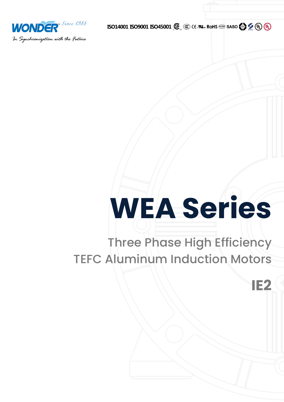

**ISO14001 ISO9001 ISO45001** *S* @ ( $\epsilon$  **N**<sub>is</sub> RoHS @ SASO **@ 2** (b) (l)

# **WEA Series**

### Three Phase High Efficiency TEFC Aluminum Induction Motors

**IE2**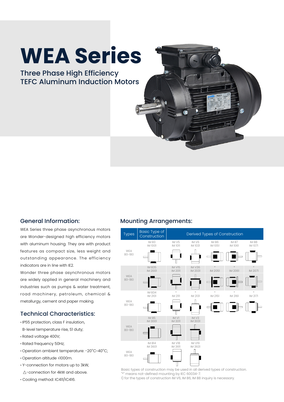## **WEA Series**

#### Three Phase High Efficiency TEFC Aluminum Induction Motors



#### General Information:

WEA Series three phase asynchronous motors are Wonder-designed high efficiency motors with aluminum housing. They are with product features as compact size, less weight and outstanding appearance. The efficiency indicators are in line with IE2.

Wonder three phase asynchronous motors are widely applied in general machinery and industries such as pumps & water treatment, road machinery, petroleum, chemical & metallurgy, cement and paper making.

#### Technical Characteristics:

- **·** IP55 protection, class F insulation,
- B-level temperature rise, S1 duty;
- **·** Rated voltage 400V;
- **·** Rated frequency 50Hz;
- $\cdot$  Operation ambient temperature: -20 $^{\circ}$ C~40 $^{\circ}$ C;
- **·** Operation altitude ≤1000m.
- **·** Y-connection for motors up to 3kW,  $\triangle$ -connection for 4kW and above.
- **·** Cooling method: IC411/IC416.

#### Mounting Arrangements:



Basic types of construction may be used in all derived types of construction. "\*" means not-defined mounting by IEC 60034-7.

1) for the types of construction IM V6, IM B6, IM B8 inquiry is necessary.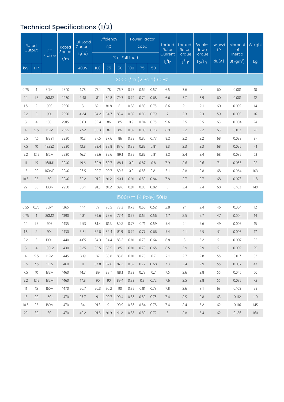#### Technical Specifications (1/2)

| Rated<br>Output |                 | <b>IEC</b><br>Frame | Rated<br>Speed | Full Load<br>Current<br>$I_n(A)$ |      | Effciency<br>$n\%$ |        |                       | <b>Power Factor</b><br>$COS\psi$ |      | Locked<br>Rotor<br>Current | Locked<br>Rotor<br>Torque | Break-<br>down<br>Torque | Sound<br>LP | <b>Moment</b><br><b>of</b><br>Inertia | <b>Weight</b> |  |
|-----------------|-----------------|---------------------|----------------|----------------------------------|------|--------------------|--------|-----------------------|----------------------------------|------|----------------------------|---------------------------|--------------------------|-------------|---------------------------------------|---------------|--|
|                 |                 |                     | r/m            |                                  |      |                    |        | % of Full Load        |                                  |      | $I_L/I_D$                  | $T_L/T_D$                 | $T_b/T_n$                | dB(A)       | J(kgm <sup>2</sup> )                  | kg            |  |
| kW              | <b>HP</b>       |                     |                | 400V                             | 100  | 75                 | 50     | 100                   | 75                               | 50   |                            |                           |                          |             |                                       |               |  |
|                 |                 |                     |                |                                  |      |                    |        | 3000r/m (2 Pole) 50Hz |                                  |      |                            |                           |                          |             |                                       |               |  |
| 0.75            | 1               | 80M1                | 2840           | 1.78                             | 78.1 | 78                 | 76.7   | 0.78                  | 0.69                             | 0.57 | 6.5                        | 3.6                       | $\overline{4}$           | 60          | 0.001                                 | $10$          |  |
| 1.1             | 1.5             | 80M2                | 2930           | 2.48                             | 81   | 80.8               | 79.3   | 0.79                  | 0.72                             | 0.68 | 6.6                        | 3.7                       | 3.9                      | 60          | 0.001                                 | 12            |  |
| 1.5             | $\overline{c}$  | 90S                 | 2890           | 3                                | 82.1 | 81.8               | 81     | 0.88                  | 0.83                             | 0.75 | 6.6                        | 2.1                       | 2.1                      | 60          | 0.002                                 | 14            |  |
| 2.2             | 3               | 90L                 | 2890           | 4.24                             | 84.2 | 84.7               | 83.4   | 0.89                  | 0.86                             | 0.79 | $\overline{7}$             | 2.3                       | 2.3                      | 59          | 0.003                                 | 16            |  |
| 3               | $\overline{4}$  | 100L                | 2915           | 5.63                             | 85.4 | 86                 | 85     | 0.9                   | 0.84                             | 0.75 | 9.6                        | 3.5                       | 3.5                      | 63          | 0.004                                 | 24            |  |
| $\overline{4}$  | 5.5             | 112M                | 2895           | 7.52                             | 86.3 | 87                 | 86     | 0.89                  | 0.85                             | 0.78 | 6.9                        | 2.2                       | 2.2                      | 63          | 0.013                                 | 26            |  |
| 5.5             | 7.5             | <b>132S1</b>        | 2930           | 10.2                             | 87.5 | 87.6               | 86     | 0.89                  | 0.85                             | 0.77 | 8.2                        | 2.2                       | 2.2                      | 68          | 0.023                                 | 37            |  |
| 7.5             | 10 <sup>°</sup> | 132S2               | 2930           | 13.8                             | 88.4 | 88.8               | 87.6   | 0.89                  | 0.87                             | 0.81 | 8.3                        | 2.3                       | 2.3                      | 68          | 0.025                                 | 41            |  |
| 9.2             | 12.5            | 132M                | 2930           | 16.7                             | 89.6 | 89.6               | 89.1   | 0.89                  | 0.87                             | 0.81 | 8.2                        | 2.4                       | 2.4                      | 68          | 0.035                                 | 63            |  |
| 11              | 15              | 160M1               | 2940           | 19.6                             | 89.9 | 89.7               | 88.1   | 0.9                   | 0.87                             | 0.8  | 7.9                        | 2.6                       | 2.6                      | 71          | 0.055                                 | 92            |  |
| 15              | 20              | 160M2               | 2940           | 26.5                             | 90.7 | 90.7               | 89.5   | 0.9                   | 0.88                             | 0.81 | 8.1                        | 2.8                       | 2.8                      | 68          | 0.064                                 | 103           |  |
| 18.5            | 25              | 160L                | 2940           | 32.2                             | 91.2 | 91.2               | 90.1   | 0.91                  | 0.89                             | 0.84 | 7.8                        | 2.7                       | 2.7                      | 68          | 0.073                                 | 118           |  |
| 22              | 30              | 180M                | 2950           | 38.1                             | 91.5 | 91.2               | 89.6   | 0.91                  | 0.88                             | 0.82 | 8                          | 2.4                       | 2.4                      | 68          | 0.103                                 | 149           |  |
|                 |                 |                     |                |                                  |      |                    |        | 1500r/m (4 Pole) 50Hz |                                  |      |                            |                           |                          |             |                                       |               |  |
| 0.55            | 0.75            | 80M1                | 1365           | 1.14                             | 77   | 76.5               | 73.3   | 0.73                  | 0.66                             | 0.52 | 2.8                        | 2.1                       | 2.4                      | 46          | 0.004                                 | 12            |  |
| 0.75            | $\mathbf{1}$    | 80M2                | 1390           | 1.81                             | 79.6 | 78.6               | 77.4   | 0.75                  | 0.69                             | 0.56 | 4.7                        | 2.5                       | 2.7                      | 47          | 0.004                                 | 14            |  |
| 1.1             | 1.5             | 90S                 | 1435           | 2.53                             | 81.4 | 81.3               | 80.2   | 0.77                  | 0.71                             | 0.59 | 5.4                        | 2.1                       | 2.6                      | 49          | 0.005                                 | 15            |  |
| 1.5             | $\overline{c}$  | 90L                 | 1430           | 3.31                             | 82.8 | 82.4               | 81.9   | 0.79                  | 0.77                             | 0.66 | 5.4                        | 2.1                       | 2.5                      | 51          | 0.006                                 | 17            |  |
| 2.2             | 3               | 100L1               | 1440           | 4.65                             | 84.3 | 84.4               | 83.2   | 0.81                  | 0.75                             | 0.64 | 6.8                        | 3                         | 3.2                      | 51          | 0.007                                 | 25            |  |
| $\mathsf{3}$    | $\overline{4}$  | 100L2               | 1430           | 6.25                             | 85.5 | 85.5               | $85\,$ |                       | $0.81$ 0.75 0.65                 |      | $6.5\,$                    | 2.9                       | $2.9\,$                  | 51          | 0.009                                 | 29            |  |
| $\overline{4}$  | 5.5             | 112M                | 1445           | 8.19                             | 87   | 86.8               | 85.8   | 0.81                  | 0.75                             | 0.7  | 7.1                        | 2.7                       | 2.8                      | 55          | 0.017                                 | 33            |  |
| 5.5             | 7.5             | 132S                | 1460           | 11                               | 87.8 | 87.6               | 87.2   | 0.82                  | 0.77                             | 0.68 | 7.3                        | 2.4                       | 2.9                      | 55          | 0.037                                 | 47            |  |
| 7.5             | 10 <sup>°</sup> | 132M                | 1460           | 14.7                             | 89   | 88.7               | 88.1   | 0.83                  | 0.79                             | 0.7  | 7.5                        | 2.6                       | 2.8                      | 55          | 0.045                                 | 60            |  |
| 9.2             | 12.5            | 132M                | 1460           | 17.8                             | 90   | 90                 | 89.4   | 0.83                  | 0.8                              | 0.72 | 7.6                        | 2.5                       | 2.8                      | 55          | 0.075                                 | 72            |  |
| 11              | 15              | 160M                | 1470           | 20.7                             | 90.3 | 90.2               | 90     | 0.85                  | 0.81                             | 0.73 | 7.8                        | 2.6                       | 3.1                      | 63          | 0.105                                 | 95            |  |
| 15              | 20              | 160L                | 1470           | 27.7                             | 91   | 90.7               | 90.4   | 0.86                  | 0.82                             | 0.75 | 7.4                        | 2.5                       | 2.8                      | 63          | 0.112                                 | 110           |  |
| 18.5            | 25              | 180M                | 1470           | 34                               | 91.3 | 91                 | 90.9   | 0.86                  | 0.84                             | 0.78 | 7.4                        | 2.4                       | 3.2                      | 62          | 0.116                                 | 145           |  |
| 22              | 30              | 180L                | 1470           | 40.2                             | 91.8 | 91.9               | 91.2   | 0.86                  | 0.82                             | 0.72 | 8                          | 2.8                       | 3.4                      | 62          | 0.186                                 | 160           |  |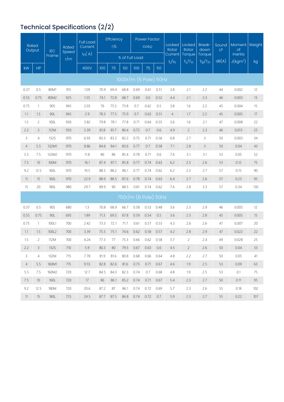#### Technical Specifications (2/2)

| Rated<br>Output |                 | <b>IEC</b>  | Rated<br>Speed | <b>Full Load</b><br>Current |      | Effciency<br>$\eta\%$ |      |                       | <b>Power Factor</b><br><b>COS</b> <sup>O</sup> |      | Locked<br>Rotor      | Locked<br>Rotor     | Break-<br>down                           | Sound<br>LP | Moment Weight<br>of             |     |
|-----------------|-----------------|-------------|----------------|-----------------------------|------|-----------------------|------|-----------------------|------------------------------------------------|------|----------------------|---------------------|------------------------------------------|-------------|---------------------------------|-----|
|                 |                 | Frame       | r/m            | $I_n(A)$                    |      |                       |      | % of Full Load        |                                                |      | Current<br>$I_L/I_D$ | Torque<br>$T_L/T_D$ | Torque<br>T <sub>b</sub> /T <sub>n</sub> | dB(A)       | Inertia<br>J(kgm <sup>2</sup> ) | kg  |
| kW              | HP              |             |                | 400V                        | 100  | 75                    | 50   | 100                   | 75                                             | 50   |                      |                     |                                          |             |                                 |     |
|                 |                 |             |                |                             |      |                       |      | 1000r/m (6 Pole) 50Hz |                                                |      |                      |                     |                                          |             |                                 |     |
| 0.37            | 0.5             | 80M1        | 915            | 1.09                        | 70.9 | 69.4                  | 68.8 | 0.69                  | 0.61                                           | 0.51 | 3.8                  | 2.1                 | 2.2                                      | 44          | 0.002                           | 12  |
| 0.55            | 0.75            | 80M2        | 925            | 1.55                        | 74.1 | 72.8                  | 68.7 | 0.69                  | 0.6                                            | 0.52 | 4.4                  | 2.1                 | 2.3                                      | 46          | 0.003                           | 13  |
| 0.75            | $\mathbf{1}$    | 90S         | 945            | 2.03                        | 76   | 75.5                  | 73.8 | 0.7                   | 0.62                                           | 0.5  | 3.8                  | 1.6                 | 2.2                                      | 45          | 0.004                           | 15  |
| 1.1             | 1.5             | 90L         | 945            | 2.9                         | 78.3 | 77.5                  | 75.9 | 0.7                   | 0.63                                           | 0.51 | $\overline{4}$       | 1.7                 | 2.2                                      | 45          | 0.005                           | 17  |
| 1.5             | $\overline{c}$  | 100L        | 930            | 3.82                        | 79.8 | 78.1                  | 77.8 | 0.71                  | 0.64                                           | 0.55 | 3.6                  | 1.6                 | 2.1                                      | 47          | 0.008                           | 22  |
| 2.2             | 3               | 112M        | 950            | 5.39                        | 81.8 | 81.7                  | 80.4 | 0.72                  | 0.7                                            | 0.6  | 4.9                  | $\overline{c}$      | 2.3                                      | 46          | 0.013                           | 25  |
| 3               | $\overline{4}$  | <b>132S</b> | 970            | 6.93                        | 83.3 | 83.2                  | 82.2 | 0.75                  | 0.71                                           | 0.56 | 6.8                  | 2.7                 | $\mathsf 3$                              | 50          | 0.003                           | 34  |
| $\overline{4}$  | 5.5             | 132M1       | 970            | 8.86                        | 84.6 | 84.1                  | 83.6 | 0.77                  | 0.7                                            | 0.58 | 7.1                  | 2.8                 | $\mathcal{E}$                            | 50          | 0.04                            | 43  |
| 5.5             | 7.5             | 132M2       | 970            | 11.8                        | 86   | 86                    | 85.4 | 0.78                  | 0.71                                           | 0.6  | 7.6                  | 3.1                 | 3.1                                      | 53          | 0.05                            | 52  |
| 7.5             | 10 <sup>°</sup> | 160M        | 970            | 16.1                        | 87.4 | 87.1                  | 85.8 | 0.77                  | 0.74                                           | 0.63 | 6.2                  | 2.5                 | 2.6                                      | 53          | 0.12                            | 75  |
| 9.2             | 12.5            | 160L        | 970            | 19.5                        | 88.5 | 88.2                  | 86.1 | 0.77                  | 0.74                                           | 0.62 | 6.2                  | 2.2                 | 2.7                                      | 57          | 0.15                            | 90  |
| 11              | 15              | 160L        | 970            | 22.9                        | 88.9 | 88.5                  | 87.6 | 0.78                  | 0.74                                           | 0.63 | 6.4                  | 2.7                 | 2.6                                      | 57          | 0.23                            | 95  |
| 15              | 20              | 180L        | 980            | 29.7                        | 89.9 | 90                    | 88.5 | 0.81                  | 0.74                                           | 0.62 | 7.6                  | 2.8                 | 3.3                                      | 57          | 0.34                            | 130 |
|                 |                 |             |                |                             |      |                       |      | 750r/m (8 Pole) 50Hz  |                                                |      |                      |                     |                                          |             |                                 |     |
| 0.37            | 0.5             | 90S         | 680            | 1.3                         | 70.8 | 68.9                  | 66.7 | 0.58                  | 0.53                                           | 0.48 | 3.6                  | 2.3                 | 2.9                                      | 46          | 0.005                           | 12  |
| 0.55            | 0.75            | 90L         | 695            | 1.89                        | 71.3 | 69.5                  | 67.8 | 0.59                  | 0.54                                           | 0.5  | 3.6                  | 2.3                 | 2.8                                      | 45          | 0.005                           | 15  |
| 0.75            | 1               | 100L1       | 700            | 2.42                        | 73.3 | 72.1                  | 71.7 | 0.61                  | 0.57                                           | 0.53 | 4.3                  | 2.6                 | 2.6                                      | 47          | 0.007                           | 20  |
| 1.1             | 1.5             | 100L2       | 700            | 3.39                        | 75.5 | 75.1                  | 74.6 | 0.62                  | 0.58                                           | 0.57 | 4.2                  | 2.8                 | 2.9                                      | 47          | 0.022                           | 22  |
| 1.5             | $\overline{c}$  | 112M        | 700            | 4.24                        | 77.3 | 77                    | 75.3 | 0.66                  | 0.62                                           | 0.58 | 3.7                  | $\overline{c}$      | 2.4                                      | 49          | 0.028                           | 25  |
| $2.2\,$         | 3               | <b>132S</b> | 710            | 5.9                         | 80.3 | 80                    |      | 79.5  0.67  0.63      |                                                | 0.6  | 4.5                  | $\overline{c}$      | $2.6\,$                                  | 50          | 0.04                            | 33  |
| $\mathsf{3}$    | $\overline{4}$  | 132M        | 715            | 7.78                        | 81.9 | 81.6                  | 80.8 | 0.68                  | 0.66                                           | 0.64 | 4.8                  | 2.2                 | 2.7                                      | 50          | 0.05                            | 41  |
| $\overline{4}$  | 5.5             | 160M1       | 715            | 9.55                        | 82.8 | 82.6                  | 81.6 | 0.73                  | 0.71                                           | 0.67 | 4.6                  | 1.9                 | 2.5                                      | 53          | 0.09                            | 63  |
| 5.5             | 7.5             | 160M2       | 720            | 12.7                        | 84.5 | 84.3                  | 82.3 | 0.74                  | 0.7                                            | 0.68 | 4.8                  | 1.9                 | 2.5                                      | 53          | 0.1                             | 75  |
| 7.5             | 10 <sup>°</sup> | 160L        | 720            | 17                          | 86   | 86.1                  | 85.2 | 0.74                  | 0.71                                           | 0.67 | 5.4                  | 2.3                 | 2.7                                      | 50          | 0.11                            | 95  |
| 9.2             | 12.5            | 180M        | 720            | 20.6                        | 87.2 | 87                    | 86.1 | 0.74                  | 0.72                                           | 0.69 | 5.7                  | 2.3                 | 2.6                                      | 55          | 0.18                            | 102 |
| 11              | 15              | 180L        | 725            | 24.5                        |      | 87.7 87.5             | 86.8 | 0.74                  | 0.72                                           | 0.7  | 5.9                  | 2.3                 | 2.7                                      | 55          | 0.22                            | 107 |
|                 |                 |             |                |                             |      |                       |      |                       |                                                |      |                      |                     |                                          |             |                                 |     |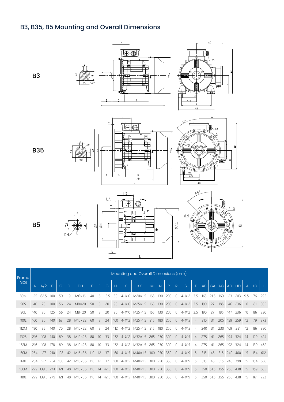#### B3, B35, B5 Mounting and Overall Dimensions

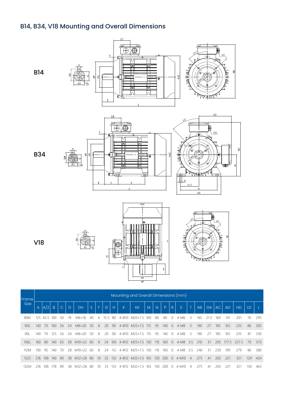#### B14, B34, V18 Mounting and Overall Dimensions









| Frame       | Mounting and Overall Dimensions (mm) |         |        |              |    |                    |     |                 |                 |                   |   |                              |     |     |       |              |                                    |                |     |                        |     |     |                 |      |     |
|-------------|--------------------------------------|---------|--------|--------------|----|--------------------|-----|-----------------|-----------------|-------------------|---|------------------------------|-----|-----|-------|--------------|------------------------------------|----------------|-----|------------------------|-----|-----|-----------------|------|-----|
| <b>Size</b> | A                                    | A/2     | B      | $\mathsf{C}$ | D. | <b>DH</b>          | E.  | F               | $\mathsf{G}$    | H                 | K | <b>KK</b>                    | M   | N   | P     | R            | S.                                 | l Ti           | AB  | GA                     | AC  | AD  | <b>HD</b>       | LD   |     |
| 80M         | 125                                  | 62.5    | 100    | 50           | 19 | $M6\times 16$      | 40  | 6               | 15.5            | -80               |   | 4-010 M20×1.5 100            |     | -80 | 80    | $\Omega$     | $4-M6$                             | 3              | 165 | 21.5                   | 160 | 141 | 201             | 76   | 295 |
| 90S         | 140                                  | 70      | 100    | - 56         | 24 | M8×20 50           |     | 8               | 20 <sup>1</sup> |                   |   | 90 4-010 M25 × 1.5 115       |     | -95 | 140 0 |              | $4-M8$                             | $\overline{3}$ | 190 | 27                     | 185 | 165 | 235             | 86   | 305 |
| 90L         | 140                                  | 70      | 125    | 56           | 24 | $M8\times20$       | 50  | 8               | 20              | 90                |   | $4 - 010$ M25 $\times$ 1.5   | 115 | 95  | 140   | $\Omega$     | $4-M8$                             | 3              | 190 | 27                     | 185 | 165 | 235             | -81  | 330 |
| 1001        | 160                                  | -80     | 140 63 |              |    | 28 M10×22 60       |     | 8               |                 |                   |   | 24 100 4-012 M25×1.5 130     |     | 110 |       |              | $160 \quad 0 \quad 4-M8 \quad 3.5$ |                | 210 | 31                     |     |     | 205 177.5 257.5 | - 79 | 373 |
| 112M        | 190                                  | 95      | 140    | 70           | 28 | $M10 \times 22$ 60 |     | 8               | 24              | 112               |   | 4-012 M25×1.5 130            |     | 110 | 160   | $\bigcirc$   | 4-M8                               | 3.5            | 240 | 31                     | 230 | 199 | 279             | 86   | 380 |
| 132S        |                                      | 216 108 | 140 89 |              | 38 | M12×28 80          |     | 10 <sup>°</sup> |                 |                   |   | 33 132 4-012 M32×1.5 165 130 |     |     | 2000  |              | 4-M10                              | $\overline{4}$ | 275 | 41                     | 265 | 221 | 321             | 129  | 424 |
| 132M        | 216                                  | 108     | 178    | -89          | 38 | $M12\times 28$     | -80 | 10              | 33              | 132 <sub>13</sub> |   | $4-4012$ M32 $\times$ 1.5    | 165 | 130 | 200   | <sup>n</sup> | 4-M10                              | $\Delta$       | 275 | $\mathcal{A}^{\prime}$ | 265 | 221 | 321             | 130  | 463 |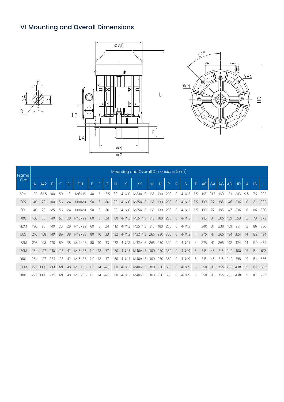#### V1 Mounting and Overall Dimensions







| <b>Frame</b> |     |               |                |               |    |                 |     |    |      |     |              | Mounting and Overall Dimensions (mm)  |     |                |         |            |                      |                |     |          |           |     |                      |     |         |         |
|--------------|-----|---------------|----------------|---------------|----|-----------------|-----|----|------|-----|--------------|---------------------------------------|-----|----------------|---------|------------|----------------------|----------------|-----|----------|-----------|-----|----------------------|-----|---------|---------|
| <b>Size</b>  | A   | A/2           | $\overline{B}$ | $\mathcal{C}$ | D  | DH              | E.  | F. | G    | Н   | $\mathsf{K}$ | <b>KK</b>                             | M   | $\overline{N}$ | P       | R          | 'S.                  | $\top$         | AB  |          | $GA$ $AC$ |     | $AD$ $HD$            | LA  | LD      |         |
| 80M          | 125 | 62.5          | 100            | 50            | 19 | $M6\times 16$   | 40  | 6  | 15.5 | 80  | $4 - 010$    | $M20\times1.5$                        | 165 | 130            | 200     | $\Omega$   | $4 - 012$            | 3.5            | 165 | 21.5     | 160       | 123 | 203                  | 95  | 76      | 295     |
| 90S          | 140 | 70            | 100            | 56            | 24 | $M8\times20$    | 50  | 8  | 20   | 90  |              | 4-010 M25×1.5 165 130 200             |     |                |         |            | $0$ 4- $\Phi$ 12 3.5 |                | 190 | 27       | 185       |     | 146 236              | 10  | 81      | 305     |
| 90L          | 140 | 70            | 125            | 56            | 24 | $M8\times 20$   | 50  | 8  | 20   | 90  |              | 4-010 M25×1.5                         | 165 | 130            | 200     | $\Omega$   | $4 - 012$ 3.5        |                | 190 | 27       | 185       | 147 | 236                  | 10  | 86      | 330     |
| 100L         | 160 | 80            | 140            | 63            | 28 | $M10\times22$   | 60  | 8  | 24   |     |              | 100 4-012 M25×1.5 215 180 250         |     |                |         |            | $0 \quad 4 - 015$    | $\overline{4}$ | 210 | 31       | 205       |     | 159 259              | 12  | 79      | 373     |
| 112M         | 190 | 95            | 140            | 70            | 28 | $M10\times 22$  | 60  | 8  | 24   | 112 |              | 4-012 M25×1.5                         | 215 | 180            | 250     | $\Omega$   | $4 - 015$            | $\overline{4}$ | 240 | 31       | 230       | 169 | 281                  | 12  | 86      | 380     |
| 132S         | 216 | 108           | 140            | 89            | 38 | $M12\times28$   | -80 | 10 | 33   |     |              | 132 4-012 M32×1.5 265 230 300         |     |                |         |            | $0 \quad 4 - 015$    | $\overline{4}$ | 275 | 41       | 265       |     | 194 324              | 14  | 129 424 |         |
| 132M         | 216 | 108           | 178            | 89            | 38 | $M12\times28$   | 80  | 10 | 33   | 132 |              | 4-012 M32×1.5 265 230 300             |     |                |         | $\bigcirc$ | $4 - 015$            | 4              | 275 | 41       | 265       | 192 | 324                  | 14  | 130 462 |         |
| 160M         | 254 | 127           | 210            | 108           | 42 | $M16\times36$   | 110 | 12 | 37   |     |              | 160 4-015 M40×1.5 300 250 350         |     |                |         |            | $0 \quad 4 - 019$    | -5             | 315 | 45       | 315       | 240 | 400                  | 15  | 154 612 |         |
| 160L         | 254 | 127           | 254            | 108           | 42 | $M16 \times 36$ | 110 | 12 | 37   | 160 |              | 4-015 M40×1.5                         | 300 |                | 250 350 | $\Omega$   | $4 - 019$            | -5             | 315 | 45       | 315       | 240 | 398                  | 15  |         | 154 656 |
| 180M         |     | 279 139.5 241 |                | 121           | 48 | $M16 \times 36$ | 110 |    |      |     |              | 14 42.5 180 4-015 M40×1.5 300 250 350 |     |                |         |            | $0 \quad 4 - 019$    | - 5            |     |          |           |     | 350 51.5 355 258 438 | -15 | 159 685 |         |
| 180L         | 279 | 139.5         | 279            | 121           | 48 | $M16\times36$   | 110 | 14 | 42.5 | 180 |              | $4 - \Phi$ 15 M40×1.5                 | 300 | 250            | -350    | $\circ$    | $4 - 019$            | 5              |     | 350 51.5 | 355       | 256 | 438                  | -15 | 161     | 723     |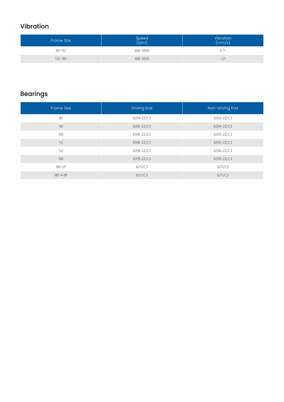#### Vibration

| <b>Frame Size</b> | Speed<br>( <sub>rpm</sub> ) | Vibration<br>(mm/s) |
|-------------------|-----------------------------|---------------------|
| 80-132            | 600-3600                    | 0.71                |
| 132-180           | 600-3600                    | 1.21                |

#### Bearings

| <b>Frame Size</b> | <b>Driving End</b> | Non-driving End |
|-------------------|--------------------|-----------------|
| 80                | 6204-2Z/C3         | 6203-2Z/C3      |
| 90                | 6205-2Z/C3         | 6204-2Z/C3      |
| 100               | 6306-2Z/C3         | 6205-2Z/C3      |
| 112               | 6306-2Z/C3         | 6205-2Z/C3      |
| 132               | 6208-2Z/C3         | 6206-2Z/C3      |
| 160               | 6209-2Z/C3         | 6209-2Z/C3      |
| 180-2P            | 6211/C3            | 6211/C3         |
| 180-4-8P          | 6311/C3            | 6211/C3         |